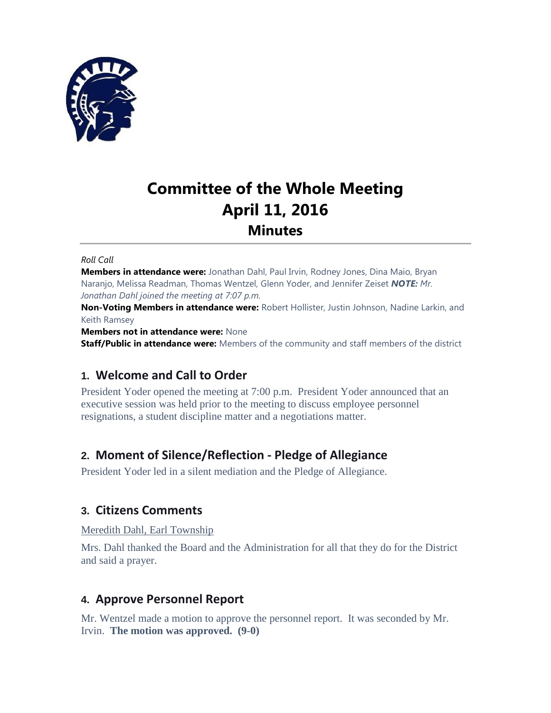

# **Committee of the Whole Meeting April 11, 2016 Minutes**

#### *Roll Call*

**Members in attendance were:** Jonathan Dahl, Paul Irvin, Rodney Jones, Dina Maio, Bryan Naranjo, Melissa Readman, Thomas Wentzel, Glenn Yoder, and Jennifer Zeiset *NOTE: Mr. Jonathan Dahl joined the meeting at 7:07 p.m.*

**Non-Voting Members in attendance were:** Robert Hollister, Justin Johnson, Nadine Larkin, and Keith Ramsey

**Members not in attendance were:** None

**Staff/Public in attendance were:** Members of the community and staff members of the district

# **1. Welcome and Call to Order**

President Yoder opened the meeting at 7:00 p.m. President Yoder announced that an executive session was held prior to the meeting to discuss employee personnel resignations, a student discipline matter and a negotiations matter.

# **2. Moment of Silence/Reflection - Pledge of Allegiance**

President Yoder led in a silent mediation and the Pledge of Allegiance.

# **3. Citizens Comments**

Meredith Dahl, Earl Township

Mrs. Dahl thanked the Board and the Administration for all that they do for the District and said a prayer.

# **4. Approve Personnel Report**

Mr. Wentzel made a motion to approve the personnel report. It was seconded by Mr. Irvin. **The motion was approved. (9-0)**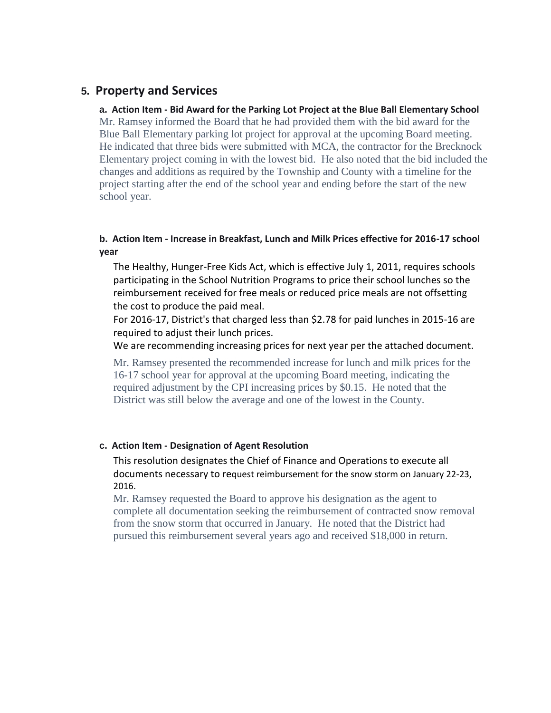# **5. Property and Services**

#### **a. Action Item - Bid Award for the Parking Lot Project at the Blue Ball Elementary School**

Mr. Ramsey informed the Board that he had provided them with the bid award for the Blue Ball Elementary parking lot project for approval at the upcoming Board meeting. He indicated that three bids were submitted with MCA, the contractor for the Brecknock Elementary project coming in with the lowest bid. He also noted that the bid included the changes and additions as required by the Township and County with a timeline for the project starting after the end of the school year and ending before the start of the new school year.

# **b. Action Item - Increase in Breakfast, Lunch and Milk Prices effective for 2016-17 school year**

The Healthy, Hunger-Free Kids Act, which is effective July 1, 2011, requires schools participating in the School Nutrition Programs to price their school lunches so the reimbursement received for free meals or reduced price meals are not offsetting the cost to produce the paid meal.

For 2016-17, District's that charged less than \$2.78 for paid lunches in 2015-16 are required to adjust their lunch prices.

We are recommending increasing prices for next year per the attached document.

Mr. Ramsey presented the recommended increase for lunch and milk prices for the 16-17 school year for approval at the upcoming Board meeting, indicating the required adjustment by the CPI increasing prices by \$0.15. He noted that the District was still below the average and one of the lowest in the County.

# **c. Action Item - Designation of Agent Resolution**

This resolution designates the Chief of Finance and Operations to execute all documents necessary to request reimbursement for the snow storm on January 22-23, 2016.

Mr. Ramsey requested the Board to approve his designation as the agent to complete all documentation seeking the reimbursement of contracted snow removal from the snow storm that occurred in January. He noted that the District had pursued this reimbursement several years ago and received \$18,000 in return.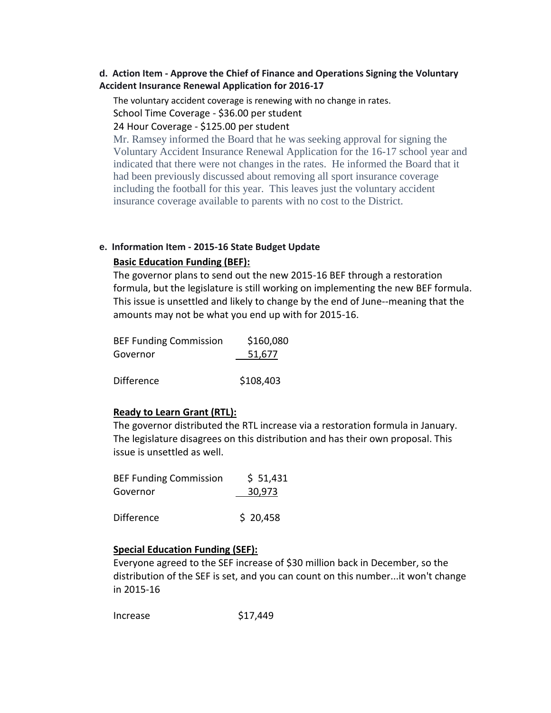# **d. Action Item - Approve the Chief of Finance and Operations Signing the Voluntary Accident Insurance Renewal Application for 2016-17**

The voluntary accident coverage is renewing with no change in rates. School Time Coverage - \$36.00 per student

#### 24 Hour Coverage - \$125.00 per student

Mr. Ramsey informed the Board that he was seeking approval for signing the Voluntary Accident Insurance Renewal Application for the 16-17 school year and indicated that there were not changes in the rates. He informed the Board that it had been previously discussed about removing all sport insurance coverage including the football for this year. This leaves just the voluntary accident insurance coverage available to parents with no cost to the District.

#### **e. Information Item - 2015-16 State Budget Update**

## **Basic Education Funding (BEF):**

The governor plans to send out the new 2015-16 BEF through a restoration formula, but the legislature is still working on implementing the new BEF formula. This issue is unsettled and likely to change by the end of June--meaning that the amounts may not be what you end up with for 2015-16.

| <b>BEF Funding Commission</b> | \$160,080 |
|-------------------------------|-----------|
| Governor                      | 51,677    |
| <b>Difference</b>             | \$108,403 |
|                               |           |

## **Ready to Learn Grant (RTL):**

The governor distributed the RTL increase via a restoration formula in January. The legislature disagrees on this distribution and has their own proposal. This issue is unsettled as well.

| <b>BEF Funding Commission</b> | \$51,431 |
|-------------------------------|----------|
| Governor                      | 30,973   |
|                               |          |

 $Difference$  \$ 20,458

## **Special Education Funding (SEF):**

Everyone agreed to the SEF increase of \$30 million back in December, so the distribution of the SEF is set, and you can count on this number...it won't change in 2015-16

Increase \$17,449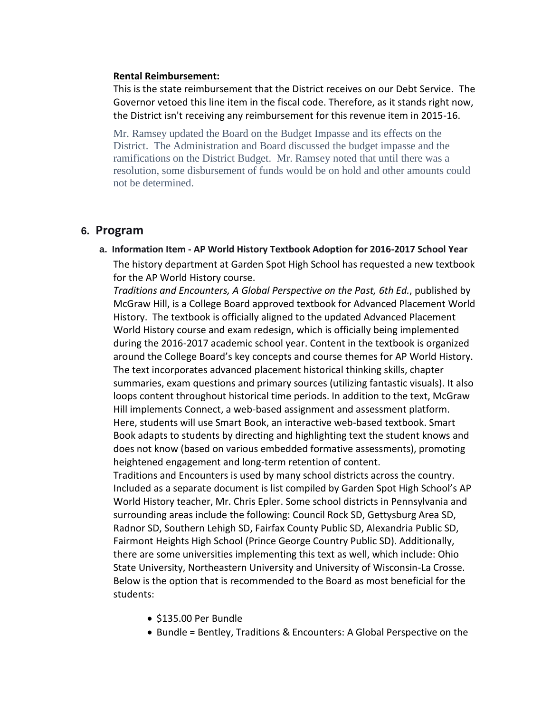#### **Rental Reimbursement:**

This is the state reimbursement that the District receives on our Debt Service. The Governor vetoed this line item in the fiscal code. Therefore, as it stands right now, the District isn't receiving any reimbursement for this revenue item in 2015-16.

Mr. Ramsey updated the Board on the Budget Impasse and its effects on the District. The Administration and Board discussed the budget impasse and the ramifications on the District Budget. Mr. Ramsey noted that until there was a resolution, some disbursement of funds would be on hold and other amounts could not be determined.

# **6. Program**

**a. Information Item - AP World History Textbook Adoption for 2016-2017 School Year** The history department at Garden Spot High School has requested a new textbook for the AP World History course.

*Traditions and Encounters, A Global Perspective on the Past, 6th Ed.*, published by McGraw Hill, is a College Board approved textbook for Advanced Placement World History. The textbook is officially aligned to the updated Advanced Placement World History course and exam redesign, which is officially being implemented during the 2016-2017 academic school year. Content in the textbook is organized around the College Board's key concepts and course themes for AP World History. The text incorporates advanced placement historical thinking skills, chapter summaries, exam questions and primary sources (utilizing fantastic visuals). It also loops content throughout historical time periods. In addition to the text, McGraw Hill implements Connect, a web-based assignment and assessment platform. Here, students will use Smart Book, an interactive web-based textbook. Smart Book adapts to students by directing and highlighting text the student knows and does not know (based on various embedded formative assessments), promoting heightened engagement and long-term retention of content.

Traditions and Encounters is used by many school districts across the country. Included as a separate document is list compiled by Garden Spot High School's AP World History teacher, Mr. Chris Epler. Some school districts in Pennsylvania and surrounding areas include the following: Council Rock SD, Gettysburg Area SD, Radnor SD, Southern Lehigh SD, Fairfax County Public SD, Alexandria Public SD, Fairmont Heights High School (Prince George Country Public SD). Additionally, there are some universities implementing this text as well, which include: Ohio State University, Northeastern University and University of Wisconsin-La Crosse. Below is the option that is recommended to the Board as most beneficial for the students:

- \$135.00 Per Bundle
- Bundle = Bentley, Traditions & Encounters: A Global Perspective on the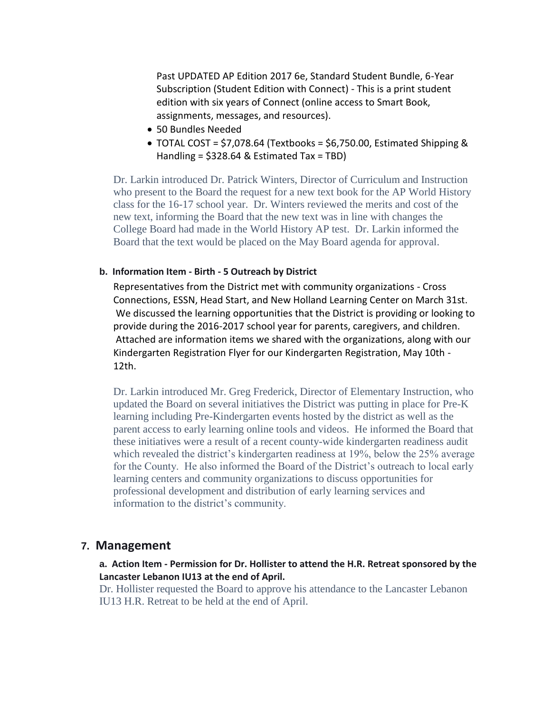Past UPDATED AP Edition 2017 6e, Standard Student Bundle, 6-Year Subscription (Student Edition with Connect) - This is a print student edition with six years of Connect (online access to Smart Book, assignments, messages, and resources).

- 50 Bundles Needed
- $\bullet$  TOTAL COST = \$7,078.64 (Textbooks = \$6,750.00, Estimated Shipping & Handling = \$328.64 & Estimated Tax = TBD)

Dr. Larkin introduced Dr. Patrick Winters, Director of Curriculum and Instruction who present to the Board the request for a new text book for the AP World History class for the 16-17 school year. Dr. Winters reviewed the merits and cost of the new text, informing the Board that the new text was in line with changes the College Board had made in the World History AP test. Dr. Larkin informed the Board that the text would be placed on the May Board agenda for approval.

#### **b. Information Item - Birth - 5 Outreach by District**

Representatives from the District met with community organizations - Cross Connections, ESSN, Head Start, and New Holland Learning Center on March 31st. We discussed the learning opportunities that the District is providing or looking to provide during the 2016-2017 school year for parents, caregivers, and children. Attached are information items we shared with the organizations, along with our Kindergarten Registration Flyer for our Kindergarten Registration, May 10th - 12th.

Dr. Larkin introduced Mr. Greg Frederick, Director of Elementary Instruction, who updated the Board on several initiatives the District was putting in place for Pre-K learning including Pre-Kindergarten events hosted by the district as well as the parent access to early learning online tools and videos. He informed the Board that these initiatives were a result of a recent county-wide kindergarten readiness audit which revealed the district's kindergarten readiness at 19%, below the 25% average for the County. He also informed the Board of the District's outreach to local early learning centers and community organizations to discuss opportunities for professional development and distribution of early learning services and information to the district's community.

#### **7. Management**

## **a. Action Item - Permission for Dr. Hollister to attend the H.R. Retreat sponsored by the Lancaster Lebanon IU13 at the end of April.**

Dr. Hollister requested the Board to approve his attendance to the Lancaster Lebanon IU13 H.R. Retreat to be held at the end of April.